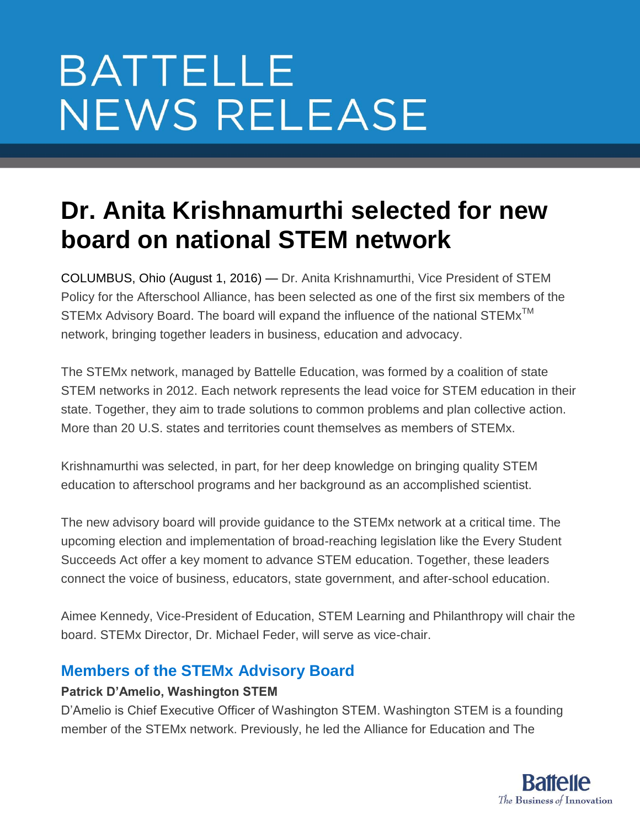# **BATTELLE NEWS RELEASE**

## **Dr. Anita Krishnamurthi selected for new board on national STEM network**

COLUMBUS, Ohio (August 1, 2016) — Dr. Anita Krishnamurthi, Vice President of STEM Policy for the Afterschool Alliance, has been selected as one of the first six members of the STEMx Advisory Board. The board will expand the influence of the national STEMx<sup>™</sup> network, bringing together leaders in business, education and advocacy.

The STEMx network, managed by Battelle Education, was formed by a coalition of state STEM networks in 2012. Each network represents the lead voice for STEM education in their state. Together, they aim to trade solutions to common problems and plan collective action. More than 20 U.S. states and territories count themselves as members of STEMx.

Krishnamurthi was selected, in part, for her deep knowledge on bringing quality STEM education to afterschool programs and her background as an accomplished scientist.

The new advisory board will provide guidance to the STEMx network at a critical time. The upcoming election and implementation of broad-reaching legislation like the Every Student Succeeds Act offer a key moment to advance STEM education. Together, these leaders connect the voice of business, educators, state government, and after-school education.

Aimee Kennedy, Vice-President of Education, STEM Learning and Philanthropy will chair the board. STEMx Director, Dr. Michael Feder, will serve as vice-chair.

### **Members of the STEMx Advisory Board**

#### **Patrick D'Amelio, Washington STEM**

D'Amelio is Chief Executive Officer of Washington STEM. Washington STEM is a founding member of the STEMx network. Previously, he led the Alliance for Education and The

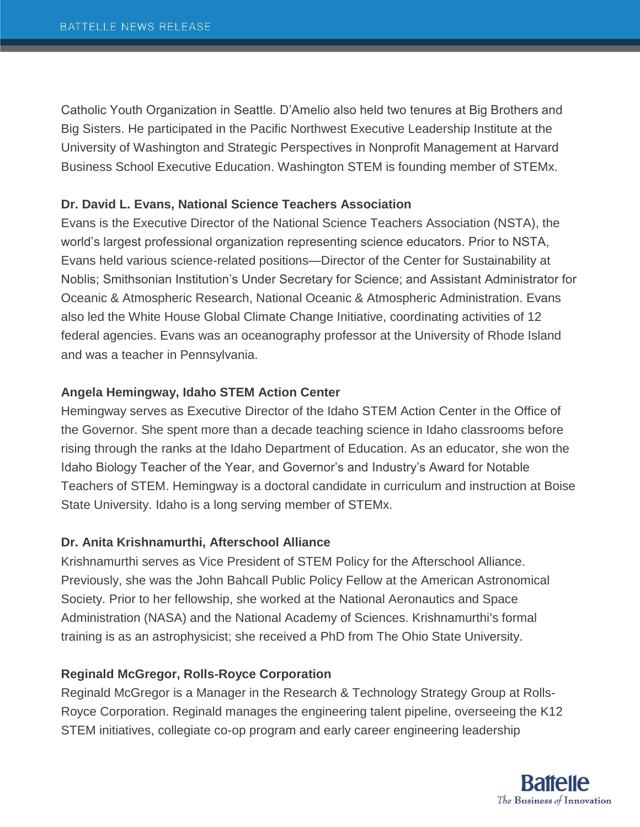Catholic Youth Organization in Seattle. D'Amelio also held two tenures at Big Brothers and Big Sisters. He participated in the Pacific Northwest Executive Leadership Institute at the University of Washington and Strategic Perspectives in Nonprofit Management at Harvard Business School Executive Education. Washington STEM is founding member of STEMx.

#### **Dr. David L. Evans, National Science Teachers Association**

Evans is the Executive Director of the National Science Teachers Association (NSTA), the world's largest professional organization representing science educators. Prior to NSTA, Evans held various science-related positions—Director of the Center for Sustainability at Noblis; Smithsonian Institution's Under Secretary for Science; and Assistant Administrator for Oceanic & Atmospheric Research, National Oceanic & Atmospheric Administration. Evans also led the White House Global Climate Change Initiative, coordinating activities of 12 federal agencies. Evans was an oceanography professor at the University of Rhode Island and was a teacher in Pennsylvania.

#### **Angela Hemingway, Idaho STEM Action Center**

Hemingway serves as Executive Director of the Idaho STEM Action Center in the Office of the Governor. She spent more than a decade teaching science in Idaho classrooms before rising through the ranks at the Idaho Department of Education. As an educator, she won the Idaho Biology Teacher of the Year, and Governor's and Industry's Award for Notable Teachers of STEM. Hemingway is a doctoral candidate in curriculum and instruction at Boise State University. Idaho is a long serving member of STEMx.

#### **Dr. Anita Krishnamurthi, Afterschool Alliance**

Krishnamurthi serves as Vice President of STEM Policy for the Afterschool Alliance. Previously, she was the John Bahcall Public Policy Fellow at the American Astronomical Society. Prior to her fellowship, she worked at the National Aeronautics and Space Administration (NASA) and the National Academy of Sciences. Krishnamurthi's formal training is as an astrophysicist; she received a PhD from The Ohio State University.

#### **Reginald McGregor, Rolls-Royce Corporation**

Reginald McGregor is a Manager in the Research & Technology Strategy Group at Rolls-Royce Corporation. Reginald manages the engineering talent pipeline, overseeing the K12 STEM initiatives, collegiate co-op program and early career engineering leadership